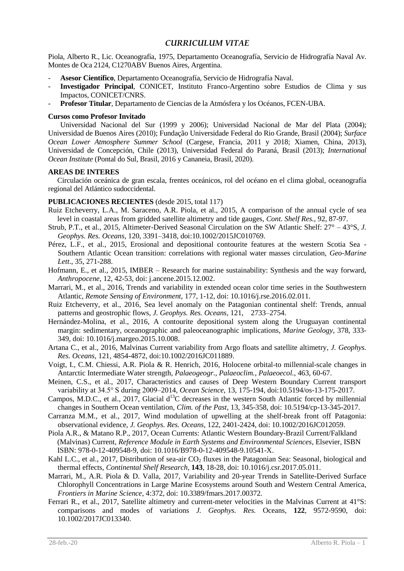# *CURRICULUM VITAE*

Piola, Alberto R., Lic. Oceanografía, 1975, Departamento Oceanografía, Servicio de Hidrografía Naval Av. Montes de Oca 2124, C1270ABV Buenos Aires, Argentina.

- **Asesor Científico**, Departamento Oceanografía, Servicio de Hidrografía Naval.
- **Investigador Principal**, CONICET, Instituto Franco-Argentino sobre Estudios de Clima y sus Impactos, CONICET/CNRS.
- **Profesor Titular**, Departamento de Ciencias de la Atmósfera y los Océanos, FCEN-UBA.

### **Cursos como Profesor Invitado**

Universidad Nacional del Sur (1999 y 2006); Universidad Nacional de Mar del Plata (2004); Universidad de Buenos Aires (2010); Fundação Universidade Federal do Rio Grande, Brasil (2004); *Surface Ocean Lower Atmosphere Summer School* (Cargese, Francia, 2011 y 2018; Xiamen, China, 2013), Universidad de Concepción, Chile (2013), Universidad Federal do Paraná, Brasil (2013); *International Ocean Institute* (Pontal do Sul, Brasil, 2016 y Cananeia, Brasil, 2020).

#### **AREAS DE INTERES**

Circulación oceánica de gran escala, frentes oceánicos, rol del océano en el clima global, oceanografía regional del Atlántico sudoccidental.

## **PUBLICACIONES RECIENTES** (desde 2015, total 117)

- Ruiz Etcheverry, L.A., M. Saraceno, A.R. Piola, et al., 2015, A comparison of the annual cycle of sea level in coastal areas from gridded satellite altimetry and tide gauges, *Cont. Shelf Res.*, 92, 87-97.
- Strub, P.T., et al., 2015, Altimeter-Derived Seasonal Circulation on the SW Atlantic Shelf: 27° 43°S, *J. Geophys. Res. Oceans*, 120, 3391–3418, doi:10.1002/2015JC010769.
- Pérez, L.F., et al., 2015, Erosional and depositional contourite features at the western Scotia Sea Southern Atlantic Ocean transition: correlations with regional water masses circulation, *Geo-Marine Lett*., 35, 271-288.
- Hofmann, E., et al., 2015, IMBER Research for marine sustainability: Synthesis and the way forward, *Anthropocene*, 12, 42-53, doi: j.ancene.2015.12.002.
- Marrari, M., et al., 2016, Trends and variability in extended ocean color time series in the Southwestern Atlantic, *Remote Sensing of Environment,* 177, 1-12, doi: 10.1016/j.rse.2016.02.011.
- Ruiz Etcheverry, et al., 2016, Sea level anomaly on the Patagonian continental shelf: Trends, annual patterns and geostrophic flows, *J. Geophys. Res. Oceans,* 121, 2733–2754.
- Hernández-Molina, et al., 2016, A contourite depositional system along the Uruguayan continental margin: sedimentary, oceanographic and paleoceanographic implications, *Marine Geology*, 378, 333- 349, doi: 10.1016/j.margeo.2015.10.008.
- Artana C., et al., 2016, Malvinas Current variability from Argo floats and satellite altimetry*, J. Geophys. Res. Oceans,* 121, 4854-4872, doi:10.1002/2016JC011889.
- Voigt, I., C.M. Chiessi, A.R. Piola & R. Henrich, 2016, Holocene orbital-to millennial-scale changes in Antarctic Intermediate Water strength, *Palaeogeogr., Palaeoclim., Palaeoecol.*, 463, 60-67.
- Meinen, C.S., et al., 2017, Characteristics and causes of Deep Western Boundary Current transport variability at 34.5° S during 2009–2014, *Ocean Science*, 13, 175-194, doi:10.5194/os-13-175-2017.
- Campos, M.D.C., et al., 2017, Glacial  $d^{13}C$  decreases in the western South Atlantic forced by millennial changes in Southern Ocean ventilation, *Clim. of the Past*, 13, 345-358, doi: 10.5194/cp-13-345-2017.
- Carranza M.M., et al., 2017, Wind modulation of upwelling at the shelf-break front off Patagonia: observational evidence, *J. Geophys. Res. Oceans,* 122, 2401-2424, doi: 10.1002/2016JC012059.
- Piola A.R., & Matano R.P., 2017, Ocean Currents: Atlantic Western Boundary-Brazil Current/Falkland (Malvinas) Current, *Reference Module in Earth Systems and Environmental Sciences*, Elsevier, ISBN ISBN: 978-0-12-409548-9, doi: 10.1016/B978-0-12-409548-9.10541-X.
- Kahl L.C., et al., 2017, Distribution of sea-air  $CO<sub>2</sub>$  fluxes in the Patagonian Sea: Seasonal, biological and thermal effects, *Continental Shelf Research*, **143**, 18-28, doi: 10.1016/j.csr.2017.05.011.
- Marrari, M., A.R. Piola & D. Valla, 2017, Variability and 20-year Trends in Satellite-Derived Surface Chlorophyll Concentrations in Large Marine Ecosystems around South and Western Central America, *Frontiers in Marine Science*, 4:372, doi: 10.3389/fmars.2017.00372*.*
- Ferrari R., et al., 2017, Satellite altimetry and current-meter velocities in the Malvinas Current at 41°S: comparisons and modes of variations *J. Geophys. Res.* Oceans, **122**, 9572-9590, doi: 10.1002/2017JC013340.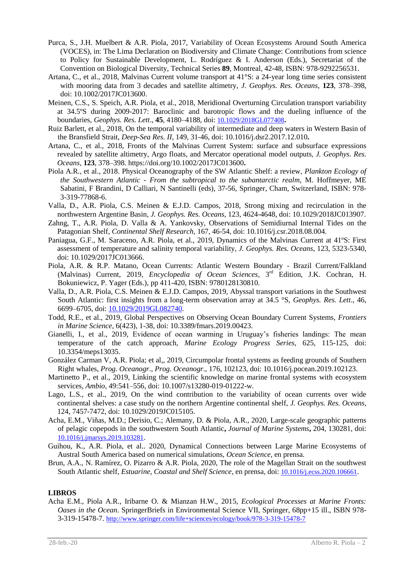- Purca, S., J.H. Muelbert & A.R. Piola, 2017, Variability of Ocean Ecosystems Around South America (VOCES), in: The Lima Declaration on Biodiversity and Climate Change: Contributions from science to Policy for Sustainable Development, L. Rodríguez & I. Anderson (Eds.), Secretariat of the Convention on Biological Diversity, Technical Series **89**, Montreal, 42-48, ISBN: 978-9292256531.
- Artana, C., et al., 2018, Malvinas Current volume transport at 41°S: a 24-year long time series consistent with mooring data from 3 decades and satellite altimetry, *J. Geophys. Res. Oceans*, **123**, 378–398, doi: 10.1002/2017JC013600.
- Meinen, C.S., S. Speich, A.R. Piola, et al., 2018, Meridional Overturning Circulation transport variability at 34.5ºS during 2009-2017: Baroclinic and barotropic flows and the dueling influence of the boundaries, *Geophys. Res. Lett*., **45**, 4180–4188, doi: [10.1029/2018GL077408](https://doi.org/10.1029/2018GL077408)**.**
- Ruiz Barlett, et al., 2018, On the temporal variability of intermediate and deep waters in Western Basin of the Bransfield Strait, *Deep-Sea Res. II*, 149, 31-46, doi: 10.1016/j.dsr2.2017.12.010**.**
- Artana, C., et al., 2018, Fronts of the Malvinas Current System: surface and subsurface expressions revealed by satellite altimetry, Argo floats, and Mercator operational model outputs, *J. Geophys. Res. Oceans*, **123**, 378–398. https://doi.org/10.1002/2017JC013600**.**
- Piola A.R., et al., 2018. Physical Oceanography of the SW Atlantic Shelf: a review, *Plankton Ecology of the Southwestern Atlantic - From the subtropical to the subantarctic realm*, M. Hoffmeyer, ME Sabatini, F Brandini, D Calliari, N Santinelli (eds), 37-56, Springer, Cham, Switzerland, ISBN: 978- 3-319-77868-6.
- Valla, D., A.R. Piola, C.S. Meinen & E.J.D. Campos, 2018, Strong mixing and recirculation in the northwestern Argentine Basin*, J. Geophys. Res. Oceans*, 123, 4624-4648, doi: 10.1029/2018JC013907.
- Zahng, T., A.R. Piola, D. Valla & A. Yankovsky, Observations of Semidiurnal Internal Tides on the Patagonian Shelf, *Continental Shelf Research*, 167, 46-54, doi: 10.1016/j.csr.2018.08.004.
- Paniagua, G.F., M. Saraceno, A.R. Piola, et al., 2019, Dynamics of the Malvinas Current at 41ºS: First assessment of temperature and salinity temporal variability, *J. Geophys. Res. Oceans*, 123, 5323-5340, doi: 10.1029/2017JC013666.
- Piola, A.R. & R.P. Matano, Ocean Currents: Atlantic Western Boundary Brazil Current/Falkland (Malvinas) Current, 2019, *Encyclopedia of Ocean Sciences*, 3<sup>rd</sup> Edition, J.K. Cochran, H. Bokuniewicz, P. Yager (Eds.), pp 411-420, ISBN: 9780128130810.
- Valla, D., A.R. Piola, C.S. Meinen & E.J.D. Campos, 2019, Abyssal transport variations in the Southwest South Atlantic: first insights from a long-term observation array at 34.5 °S, *Geophys. Res. Lett*., 46, 6699–6705, doi: [10.1029/2019GL082740.](https://doi.org/10.1029/2019GL082740)
- Todd, R.E., et al., 2019, Global Perspectives on Observing Ocean Boundary Current Systems, *Frontiers in Marine Science*, 6(423), 1-38, doi: 10.3389/fmars.2019.00423.
- Gianelli, I., et al., 2019, Evidence of ocean warming in Uruguay's fisheries landings: The mean temperature of the catch approach, *Marine Ecology Progress Series*, 625, 115-125, doi: 10.3354/meps13035.
- González Carman V, A.R. Piola; et al,, 2019, Circumpolar frontal systems as feeding grounds of Southern Right whales, *Prog. Oceanogr*., *Prog. Oceanogr*., 176, 102123, doi: 10.1016/j.pocean.2019.102123.
- Martinetto P., et al., 2019, Linking the scientific knowledge on marine frontal systems with ecosystem services, *Ambio*, 49:541–556, doi: 10.1007/s13280-019-01222-w.
- Lago, L.S., et al., 2019, On the wind contribution to the variability of ocean currents over wide continental shelves: a case study on the northern Argentine continental shelf, *J. Geophys. Res. Oceans*, 124, 7457-7472, doi: 10.1029/2019JC015105.
- Acha, E.M., Viñas, M.D.; Derisio, C.; Alemany, D. & Piola, A.R., 2020, Large-scale geographic patterns of pelagic copepods in the southwestern South Atlantic**,** *Journal of Marine Systems***,** 204, 130281, doi: [10.1016/j.jmarsys.2019.103281](https://doi.org/10.1016/j.jmarsys.2019.103281).
- Guihou, K., A.R. Piola, et al.. 2020, Dynamical Connections between Large Marine Ecosystems of Austral South America based on numerical simulations, *Ocean Science*, en prensa.
- Brun, A.A., N. Ramírez, O. Pizarro & A.R. Piola, 2020, The role of the Magellan Strait on the southwest South Atlantic shelf, *Estuarine, Coastal and Shelf Science*, en prensa, doi: [10.1016/j.ecss.2020.106661](https://doi.org/10.1016/j.ecss.2020.106661).

### **LIBROS**

Acha E.M., Piola A.R., Iribarne O. & Mianzan H.W., 2015, *Ecological Processes at Marine Fronts: Oases in the Ocean*. SpringerBriefs in Environmental Science VII, Springer, 68pp+15 ill., ISBN 978- 3-319-15478-7. <http://www.springer.com/life+sciences/ecology/book/978-3-319-15478-7>